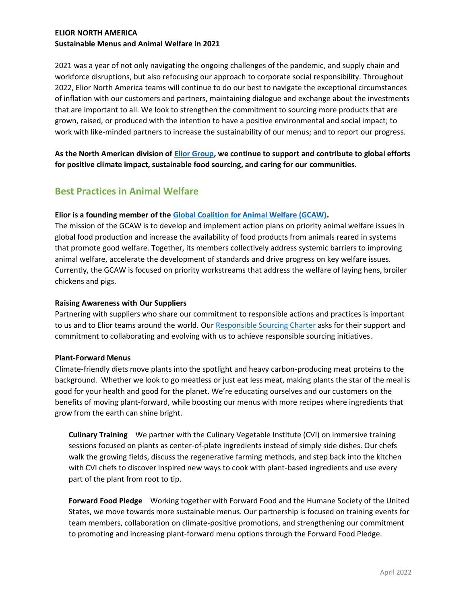## **ELIOR NORTH AMERICA Sustainable Menus and Animal Welfare in 2021**

2021 was a year of not only navigating the ongoing challenges of the pandemic, and supply chain and workforce disruptions, but also refocusing our approach to corporate social responsibility. Throughout 2022, Elior North America teams will continue to do our best to navigate the exceptional circumstances of inflation with our customers and partners, maintaining dialogue and exchange about the investments that are important to all. We look to strengthen the commitment to sourcing more products that are grown, raised, or produced with the intention to have a positive environmental and social impact; to work with like-minded partners to increase the sustainability of our menus; and to report our progress.

**As the North American division o[f Elior Group,](https://www.eliorgroup.com/) we continue to support and contribute to global efforts for positive climate impact, sustainable food sourcing, and caring for our communities.** 

# **Best Practices in Animal Welfare**

## **Elior is a founding member of the [Global Coalition for Animal Welfare \(GCAW\).](https://www.gc-animalwelfare.org/)**

The mission of the GCAW is to develop and implement action plans on priority animal welfare issues in global food production and increase the availability of food products from animals reared in systems that promote good welfare. Together, its members collectively address systemic barriers to improving animal welfare, accelerate the development of standards and drive progress on key welfare issues. Currently, the GCAW is focused on priority workstreams that address the welfare of laying hens, broiler chickens and pigs.

## **Raising Awareness with Our Suppliers**

Partnering with suppliers who share our commitment to responsible actions and practices is important to us and to Elior teams around the world. Our [Responsible Sourcing Charter](https://www.elior-na.com/sites/www.elior-na.com/files/2022-03/responsible-sourcing-charter-elior-group-ena-2022.pdf) asks for their support and commitment to collaborating and evolving with us to achieve responsible sourcing initiatives.

## **Plant-Forward Menus**

Climate-friendly diets move plants into the spotlight and heavy carbon-producing meat proteins to the background. Whether we look to go meatless or just eat less meat, making plants the star of the meal is good for your health and good for the planet. We're educating ourselves and our customers on the benefits of moving plant-forward, while boosting our menus with more recipes where ingredients that grow from the earth can shine bright.

**Culinary Training**We partner with the Culinary Vegetable Institute (CVI) on immersive training sessions focused on plants as center-of-plate ingredients instead of simply side dishes. Our chefs walk the growing fields, discuss the regenerative farming methods, and step back into the kitchen with CVI chefs to discover inspired new ways to cook with plant-based ingredients and use every part of the plant from root to tip.

**Forward Food Pledge** Working together with Forward Food and the Humane Society of the United States, we move towards more sustainable menus. Our partnership is focused on training events for team members, collaboration on climate-positive promotions, and strengthening our commitment to promoting and increasing plant-forward menu options through the Forward Food Pledge.